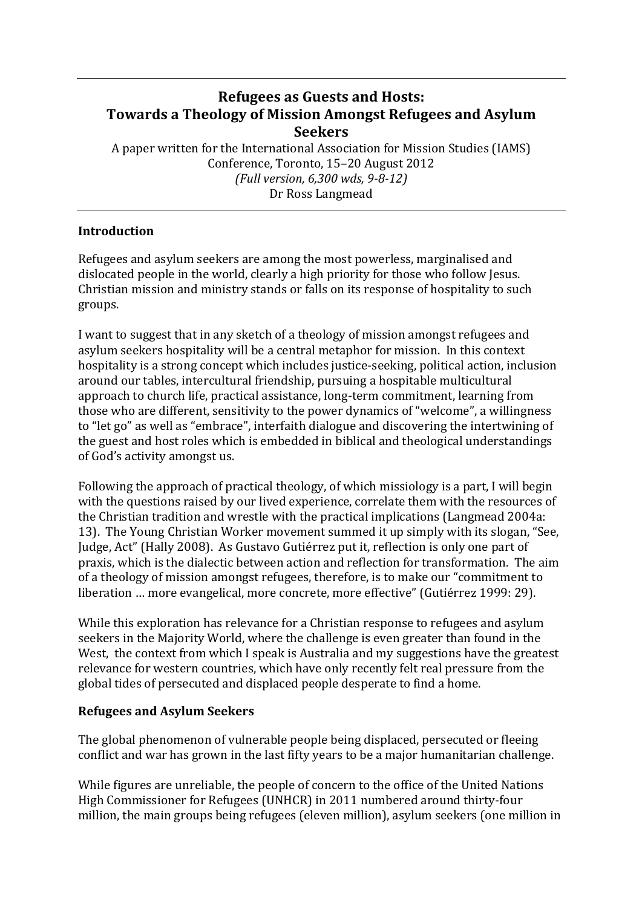# **Refugees as Guests and Hosts: Towards a Theology of Mission Amongst Refugees and Asylum Seekers**

A paper written for the International Association for Mission Studies (IAMS) Conference, Toronto, 15-20 August 2012 *(Full version, 6,300 wds, 9-8-12)* Dr Ross Langmead

## **Introduction**

Refugees and asylum seekers are among the most powerless, marginalised and dislocated people in the world, clearly a high priority for those who follow Jesus. Christian mission and ministry stands or falls on its response of hospitality to such groups. 

I want to suggest that in any sketch of a theology of mission amongst refugees and asylum seekers hospitality will be a central metaphor for mission. In this context hospitality is a strong concept which includes justice-seeking, political action, inclusion around our tables, intercultural friendship, pursuing a hospitable multicultural approach to church life, practical assistance, long-term commitment, learning from those who are different, sensitivity to the power dynamics of "welcome", a willingness to "let go" as well as "embrace", interfaith dialogue and discovering the intertwining of the guest and host roles which is embedded in biblical and theological understandings of God's activity amongst us.

Following the approach of practical theology, of which missiology is a part, I will begin with the questions raised by our lived experience, correlate them with the resources of the Christian tradition and wrestle with the practical implications (Langmead 2004a: 13). The Young Christian Worker movement summed it up simply with its slogan, "See, Judge, Act" (Hally 2008). As Gustavo Gutiérrez put it, reflection is only one part of praxis, which is the dialectic between action and reflection for transformation. The aim of a theology of mission amongst refugees, therefore, is to make our "commitment to liberation ... more evangelical, more concrete, more effective" (Gutiérrez 1999: 29).

While this exploration has relevance for a Christian response to refugees and asylum seekers in the Majority World, where the challenge is even greater than found in the West, the context from which I speak is Australia and my suggestions have the greatest relevance for western countries, which have only recently felt real pressure from the global tides of persecuted and displaced people desperate to find a home.

## **Refugees and Asylum Seekers**

The global phenomenon of vulnerable people being displaced, persecuted or fleeing conflict and war has grown in the last fifty years to be a major humanitarian challenge.

While figures are unreliable, the people of concern to the office of the United Nations High Commissioner for Refugees (UNHCR) in 2011 numbered around thirty-four million, the main groups being refugees (eleven million), asylum seekers (one million in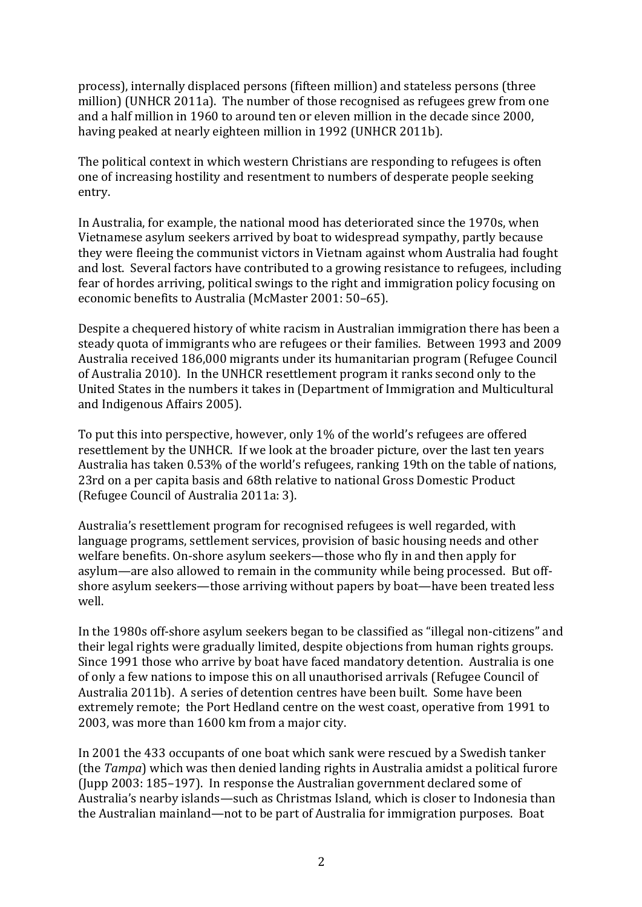process), internally displaced persons (fifteen million) and stateless persons (three million) (UNHCR 2011a). The number of those recognised as refugees grew from one and a half million in 1960 to around ten or eleven million in the decade since 2000, having peaked at nearly eighteen million in 1992 (UNHCR 2011b).

The political context in which western Christians are responding to refugees is often one of increasing hostility and resentment to numbers of desperate people seeking entry.

In Australia, for example, the national mood has deteriorated since the 1970s, when Vietnamese asylum seekers arrived by boat to widespread sympathy, partly because they were fleeing the communist victors in Vietnam against whom Australia had fought and lost. Several factors have contributed to a growing resistance to refugees, including fear of hordes arriving, political swings to the right and immigration policy focusing on economic benefits to Australia (McMaster 2001: 50-65).

Despite a chequered history of white racism in Australian immigration there has been a steady quota of immigrants who are refugees or their families. Between 1993 and 2009 Australia received 186,000 migrants under its humanitarian program (Refugee Council of Australia 2010). In the UNHCR resettlement program it ranks second only to the United States in the numbers it takes in (Department of Immigration and Multicultural and Indigenous Affairs 2005).

To put this into perspective, however, only 1% of the world's refugees are offered resettlement by the UNHCR. If we look at the broader picture, over the last ten years Australia has taken 0.53% of the world's refugees, ranking 19th on the table of nations, 23rd on a per capita basis and 68th relative to national Gross Domestic Product (Refugee Council of Australia 2011a: 3).

Australia's resettlement program for recognised refugees is well regarded, with language programs, settlement services, provision of basic housing needs and other welfare benefits. On-shore asylum seekers—those who fly in and then apply for asylum—are also allowed to remain in the community while being processed. But offshore asylum seekers—those arriving without papers by boat—have been treated less well.

In the 1980s off-shore asylum seekers began to be classified as "illegal non-citizens" and their legal rights were gradually limited, despite objections from human rights groups. Since 1991 those who arrive by boat have faced mandatory detention. Australia is one of only a few nations to impose this on all unauthorised arrivals (Refugee Council of Australia 2011b). A series of detention centres have been built. Some have been extremely remote; the Port Hedland centre on the west coast, operative from 1991 to 2003, was more than 1600 km from a major city.

In 2001 the 433 occupants of one boat which sank were rescued by a Swedish tanker (the *Tampa*) which was then denied landing rights in Australia amidst a political furore (Jupp 2003: 185–197). In response the Australian government declared some of Australia's nearby islands—such as Christmas Island, which is closer to Indonesia than the Australian mainland—not to be part of Australia for immigration purposes. Boat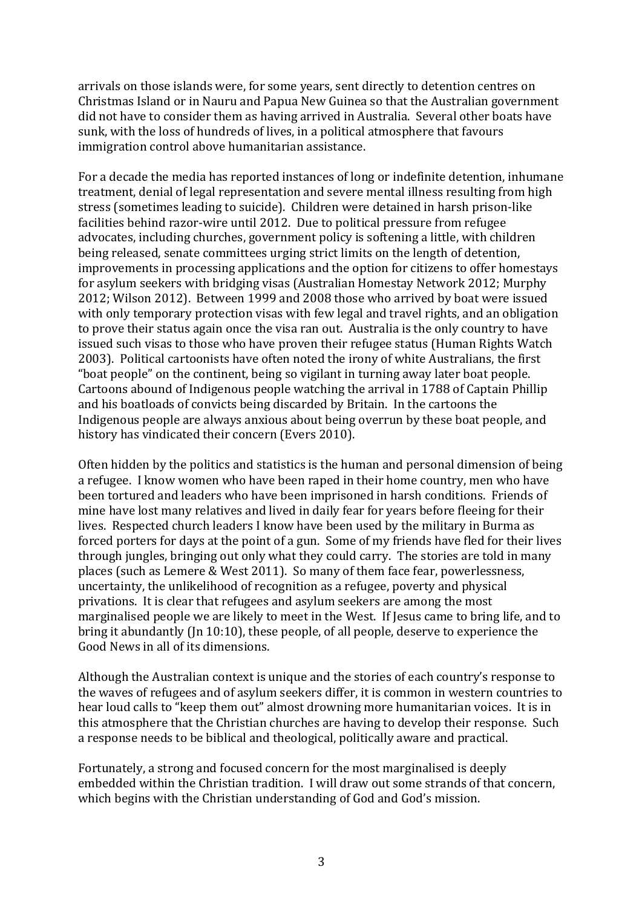arrivals on those islands were, for some years, sent directly to detention centres on Christmas Island or in Nauru and Papua New Guinea so that the Australian government did not have to consider them as having arrived in Australia. Several other boats have sunk, with the loss of hundreds of lives, in a political atmosphere that favours immigration control above humanitarian assistance.

For a decade the media has reported instances of long or indefinite detention, inhumane treatment, denial of legal representation and severe mental illness resulting from high stress (sometimes leading to suicide). Children were detained in harsh prison-like facilities behind razor-wire until 2012. Due to political pressure from refugee advocates, including churches, government policy is softening a little, with children being released, senate committees urging strict limits on the length of detention, improvements in processing applications and the option for citizens to offer homestays for asylum seekers with bridging visas (Australian Homestay Network 2012; Murphy 2012; Wilson 2012). Between 1999 and 2008 those who arrived by boat were issued with only temporary protection visas with few legal and travel rights, and an obligation to prove their status again once the visa ran out. Australia is the only country to have issued such visas to those who have proven their refugee status (Human Rights Watch 2003). Political cartoonists have often noted the irony of white Australians, the first "boat people" on the continent, being so vigilant in turning away later boat people. Cartoons abound of Indigenous people watching the arrival in 1788 of Captain Phillip and his boatloads of convicts being discarded by Britain. In the cartoons the Indigenous people are always anxious about being overrun by these boat people, and history has vindicated their concern (Evers 2010).

Often hidden by the politics and statistics is the human and personal dimension of being a refugee. I know women who have been raped in their home country, men who have been tortured and leaders who have been imprisoned in harsh conditions. Friends of mine have lost many relatives and lived in daily fear for years before fleeing for their lives. Respected church leaders I know have been used by the military in Burma as forced porters for days at the point of a gun. Some of my friends have fled for their lives through jungles, bringing out only what they could carry. The stories are told in many places (such as Lemere & West 2011). So many of them face fear, powerlessness, uncertainty, the unlikelihood of recognition as a refugee, poverty and physical privations. It is clear that refugees and asylum seekers are among the most marginalised people we are likely to meet in the West. If Jesus came to bring life, and to bring it abundantly ( $\ln 10:10$ ), these people, of all people, deserve to experience the Good News in all of its dimensions.

Although the Australian context is unique and the stories of each country's response to the waves of refugees and of asylum seekers differ, it is common in western countries to hear loud calls to "keep them out" almost drowning more humanitarian voices. It is in this atmosphere that the Christian churches are having to develop their response. Such a response needs to be biblical and theological, politically aware and practical.

Fortunately, a strong and focused concern for the most marginalised is deeply embedded within the Christian tradition. I will draw out some strands of that concern, which begins with the Christian understanding of God and God's mission.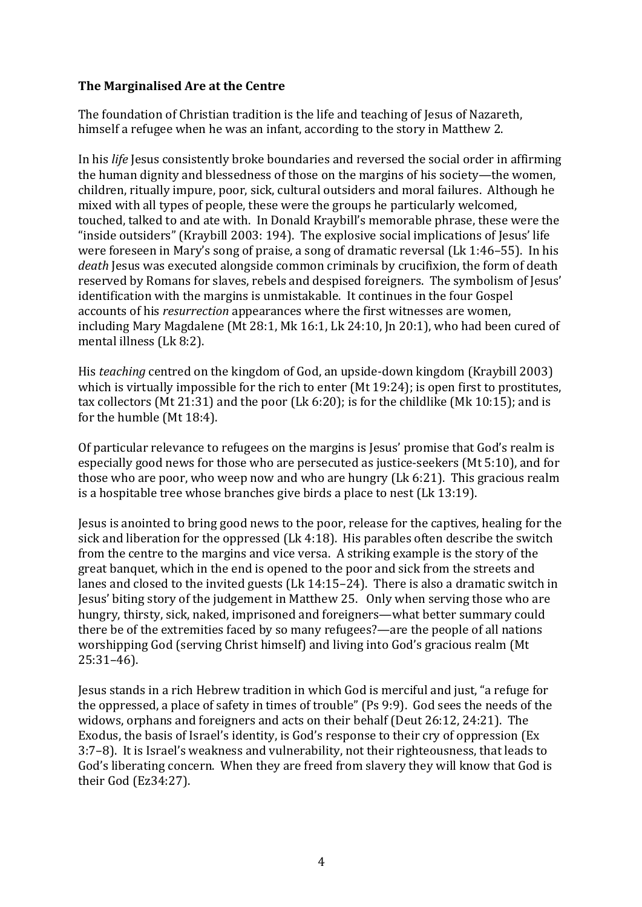### **The Marginalised Are at the Centre**

The foundation of Christian tradition is the life and teaching of Jesus of Nazareth. himself a refugee when he was an infant, according to the story in Matthew 2.

In his *life* Jesus consistently broke boundaries and reversed the social order in affirming the human dignity and blessedness of those on the margins of his society—the women, children, ritually impure, poor, sick, cultural outsiders and moral failures. Although he mixed with all types of people, these were the groups he particularly welcomed, touched, talked to and ate with. In Donald Kraybill's memorable phrase, these were the "inside outsiders" (Kraybill 2003: 194). The explosive social implications of Jesus' life were foreseen in Mary's song of praise, a song of dramatic reversal (Lk  $1:46-55$ ). In his *death* Jesus was executed alongside common criminals by crucifixion, the form of death reserved by Romans for slaves, rebels and despised foreigners. The symbolism of Jesus' identification with the margins is unmistakable. It continues in the four Gospel accounts of his *resurrection* appearances where the first witnesses are women, including Mary Magdalene (Mt  $28:1$ , Mk  $16:1$ , Lk  $24:10$ , In  $20:1$ ), who had been cured of mental illness (Lk 8:2).

His *teaching* centred on the kingdom of God, an upside-down kingdom (Kraybill 2003) which is virtually impossible for the rich to enter  $(Mt 19:24)$ ; is open first to prostitutes, tax collectors (Mt 21:31) and the poor (Lk  $6:20$ ); is for the childlike (Mk 10:15); and is for the humble (Mt 18:4).

Of particular relevance to refugees on the margins is Jesus' promise that God's realm is especially good news for those who are persecuted as justice-seekers (Mt 5:10), and for those who are poor, who weep now and who are hungry (Lk  $6:21$ ). This gracious realm is a hospitable tree whose branches give birds a place to nest (Lk 13:19).

Jesus is anointed to bring good news to the poor, release for the captives, healing for the sick and liberation for the oppressed  $(Lk 4:18)$ . His parables often describe the switch from the centre to the margins and vice versa. A striking example is the story of the great banquet, which in the end is opened to the poor and sick from the streets and lanes and closed to the invited guests  $(Lk 14:15-24)$ . There is also a dramatic switch in Jesus' biting story of the judgement in Matthew 25. Only when serving those who are hungry, thirsty, sick, naked, imprisoned and foreigners—what better summary could there be of the extremities faced by so many refugees?—are the people of all nations worshipping God (serving Christ himself) and living into God's gracious realm (Mt 25:31–46).

Jesus stands in a rich Hebrew tradition in which God is merciful and just, "a refuge for the oppressed, a place of safety in times of trouble" (Ps 9:9). God sees the needs of the widows, orphans and foreigners and acts on their behalf (Deut 26:12, 24:21). The Exodus, the basis of Israel's identity, is God's response to their cry of oppression (Ex 3:7–8). It is Israel's weakness and vulnerability, not their righteousness, that leads to God's liberating concern. When they are freed from slavery they will know that God is their God (Ez34:27).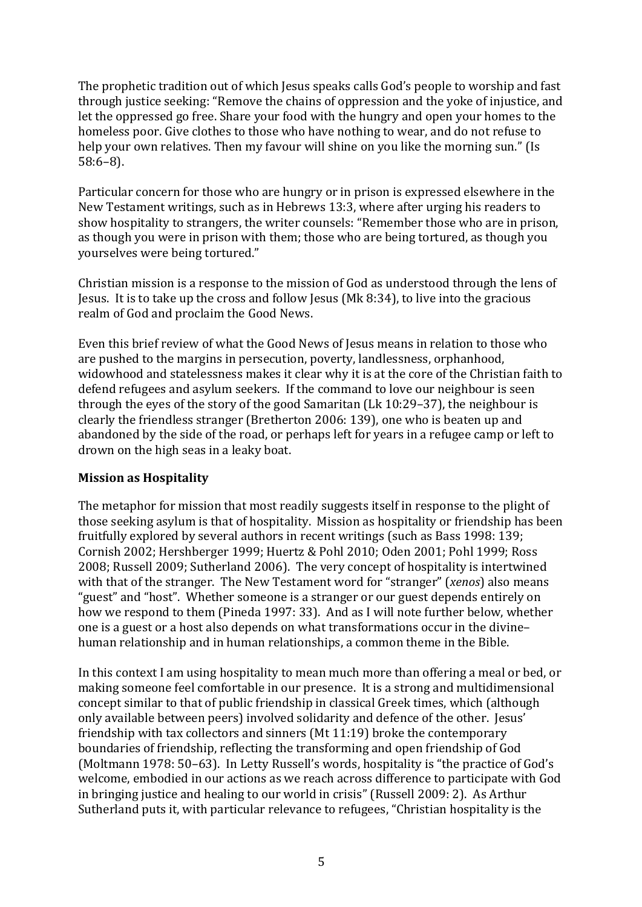The prophetic tradition out of which Jesus speaks calls God's people to worship and fast through justice seeking: "Remove the chains of oppression and the voke of injustice, and let the oppressed go free. Share your food with the hungry and open your homes to the homeless poor. Give clothes to those who have nothing to wear, and do not refuse to help your own relatives. Then my favour will shine on you like the morning sun." (Is 58:6–8).

Particular concern for those who are hungry or in prison is expressed elsewhere in the New Testament writings, such as in Hebrews 13:3, where after urging his readers to show hospitality to strangers, the writer counsels: "Remember those who are in prison, as though you were in prison with them; those who are being tortured, as though you yourselves were being tortured."

Christian mission is a response to the mission of God as understood through the lens of Jesus. It is to take up the cross and follow Jesus (Mk 8:34), to live into the gracious realm of God and proclaim the Good News.

Even this brief review of what the Good News of Jesus means in relation to those who are pushed to the margins in persecution, poverty, landlessness, orphanhood, widowhood and statelessness makes it clear why it is at the core of the Christian faith to defend refugees and asylum seekers. If the command to love our neighbour is seen through the eyes of the story of the good Samaritan (Lk  $10:29-37$ ), the neighbour is clearly the friendless stranger (Bretherton 2006: 139), one who is beaten up and abandoned by the side of the road, or perhaps left for years in a refugee camp or left to drown on the high seas in a leaky boat.

#### **Mission as Hospitality**

The metaphor for mission that most readily suggests itself in response to the plight of those seeking asylum is that of hospitality. Mission as hospitality or friendship has been fruitfully explored by several authors in recent writings (such as Bass 1998: 139; Cornish 2002; Hershberger 1999; Huertz & Pohl 2010; Oden 2001; Pohl 1999; Ross 2008; Russell 2009; Sutherland 2006). The very concept of hospitality is intertwined with that of the stranger. The New Testament word for "stranger" (*xenos*) also means "guest" and "host". Whether someone is a stranger or our guest depends entirely on how we respond to them (Pineda 1997: 33). And as I will note further below, whether one is a guest or a host also depends on what transformations occur in the divine– human relationship and in human relationships, a common theme in the Bible.

In this context I am using hospitality to mean much more than offering a meal or bed, or making someone feel comfortable in our presence. It is a strong and multidimensional concept similar to that of public friendship in classical Greek times, which (although only available between peers) involved solidarity and defence of the other. Jesus' friendship with tax collectors and sinners  $(Mt 11:19)$  broke the contemporary boundaries of friendship, reflecting the transforming and open friendship of God (Moltmann 1978: 50–63). In Letty Russell's words, hospitality is "the practice of God's welcome, embodied in our actions as we reach across difference to participate with God in bringing justice and healing to our world in crisis" (Russell 2009: 2). As Arthur Sutherland puts it, with particular relevance to refugees, "Christian hospitality is the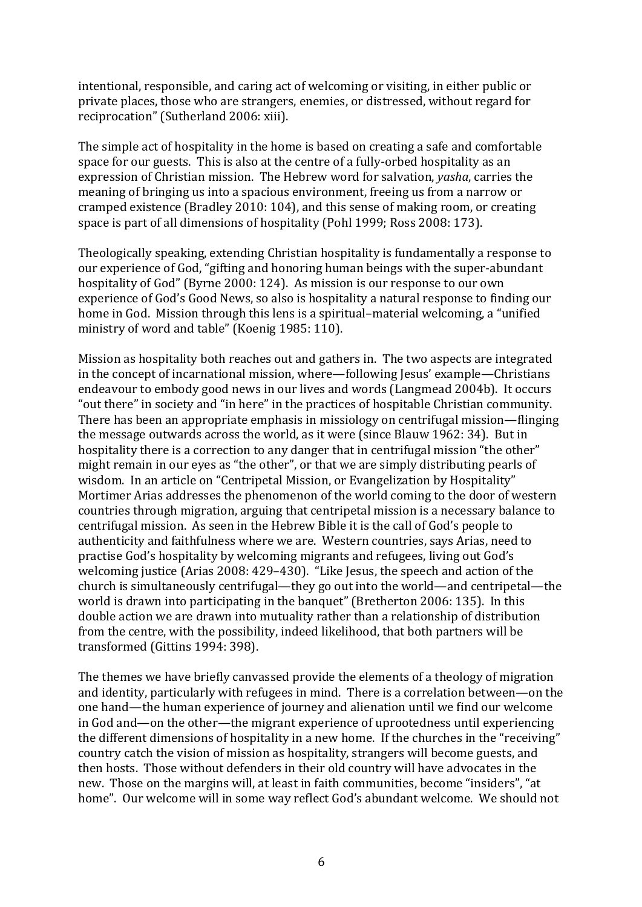intentional, responsible, and caring act of welcoming or visiting, in either public or private places, those who are strangers, enemies, or distressed, without regard for reciprocation" (Sutherland 2006: xiii).

The simple act of hospitality in the home is based on creating a safe and comfortable space for our guests. This is also at the centre of a fully-orbed hospitality as an expression of Christian mission. The Hebrew word for salvation, *yasha*, carries the meaning of bringing us into a spacious environment, freeing us from a narrow or cramped existence (Bradley 2010: 104), and this sense of making room, or creating space is part of all dimensions of hospitality (Pohl 1999; Ross 2008: 173).

Theologically speaking, extending Christian hospitality is fundamentally a response to our experience of God, "gifting and honoring human beings with the super-abundant hospitality of God" (Byrne 2000: 124). As mission is our response to our own experience of God's Good News, so also is hospitality a natural response to finding our home in God. Mission through this lens is a spiritual–material welcoming, a "unified ministry of word and table" (Koenig 1985: 110).

Mission as hospitality both reaches out and gathers in. The two aspects are integrated in the concept of incarnational mission, where—following Jesus' example—Christians endeavour to embody good news in our lives and words (Langmead 2004b). It occurs "out there" in society and "in here" in the practices of hospitable Christian community. There has been an appropriate emphasis in missiology on centrifugal mission—flinging the message outwards across the world, as it were  $\beta$  since Blauw 1962: 34). But in hospitality there is a correction to any danger that in centrifugal mission "the other" might remain in our eyes as "the other", or that we are simply distributing pearls of wisdom. In an article on "Centripetal Mission, or Evangelization by Hospitality" Mortimer Arias addresses the phenomenon of the world coming to the door of western countries through migration, arguing that centripetal mission is a necessary balance to centrifugal mission. As seen in the Hebrew Bible it is the call of God's people to authenticity and faithfulness where we are. Western countries, says Arias, need to practise God's hospitality by welcoming migrants and refugees, living out God's welcoming justice (Arias  $2008:429-430$ ). "Like Jesus, the speech and action of the church is simultaneously centrifugal—they go out into the world—and centripetal—the world is drawn into participating in the banquet" (Bretherton 2006: 135). In this double action we are drawn into mutuality rather than a relationship of distribution from the centre, with the possibility, indeed likelihood, that both partners will be transformed (Gittins 1994: 398).

The themes we have briefly canvassed provide the elements of a theology of migration and identity, particularly with refugees in mind. There is a correlation between—on the one hand—the human experience of journey and alienation until we find our welcome in God and—on the other—the migrant experience of uprootedness until experiencing the different dimensions of hospitality in a new home. If the churches in the "receiving" country catch the vision of mission as hospitality, strangers will become guests, and then hosts. Those without defenders in their old country will have advocates in the new. Those on the margins will, at least in faith communities, become "insiders", "at home". Our welcome will in some way reflect God's abundant welcome. We should not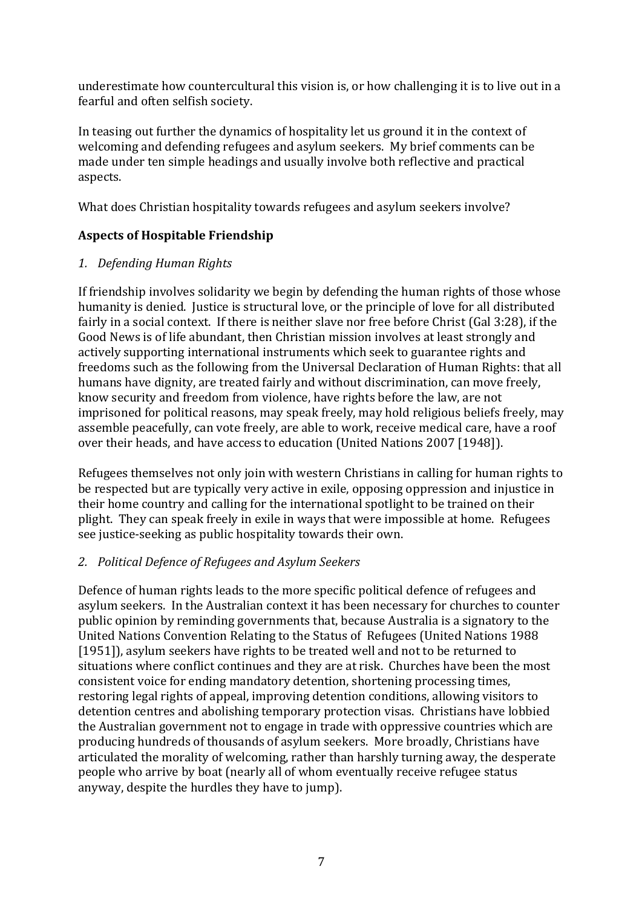underestimate how countercultural this vision is, or how challenging it is to live out in a fearful and often selfish society.

In teasing out further the dynamics of hospitality let us ground it in the context of welcoming and defending refugees and asylum seekers. My brief comments can be made under ten simple headings and usually involve both reflective and practical aspects. 

What does Christian hospitality towards refugees and asylum seekers involve?

## **Aspects of Hospitable Friendship**

## *1. Defending Human Rights*

If friendship involves solidarity we begin by defending the human rights of those whose humanity is denied. Justice is structural love, or the principle of love for all distributed fairly in a social context. If there is neither slave nor free before Christ (Gal 3:28), if the Good News is of life abundant, then Christian mission involves at least strongly and actively supporting international instruments which seek to guarantee rights and freedoms such as the following from the Universal Declaration of Human Rights: that all humans have dignity, are treated fairly and without discrimination, can move freely, know security and freedom from violence, have rights before the law, are not imprisoned for political reasons, may speak freely, may hold religious beliefs freely, may assemble peacefully, can vote freely, are able to work, receive medical care, have a roof over their heads, and have access to education (United Nations 2007 [1948]).

Refugees themselves not only join with western Christians in calling for human rights to be respected but are typically very active in exile, opposing oppression and injustice in their home country and calling for the international spotlight to be trained on their plight. They can speak freely in exile in ways that were impossible at home. Refugees see justice-seeking as public hospitality towards their own.

## *2. Political Defence of Refugees and Asylum Seekers*

Defence of human rights leads to the more specific political defence of refugees and asylum seekers. In the Australian context it has been necessary for churches to counter public opinion by reminding governments that, because Australia is a signatory to the United Nations Convention Relating to the Status of Refugees (United Nations 1988) [1951]), asylum seekers have rights to be treated well and not to be returned to situations where conflict continues and they are at risk. Churches have been the most consistent voice for ending mandatory detention, shortening processing times, restoring legal rights of appeal, improving detention conditions, allowing visitors to detention centres and abolishing temporary protection visas. Christians have lobbied the Australian government not to engage in trade with oppressive countries which are producing hundreds of thousands of asylum seekers. More broadly, Christians have articulated the morality of welcoming, rather than harshly turning away, the desperate people who arrive by boat (nearly all of whom eventually receive refugee status anyway, despite the hurdles they have to jump).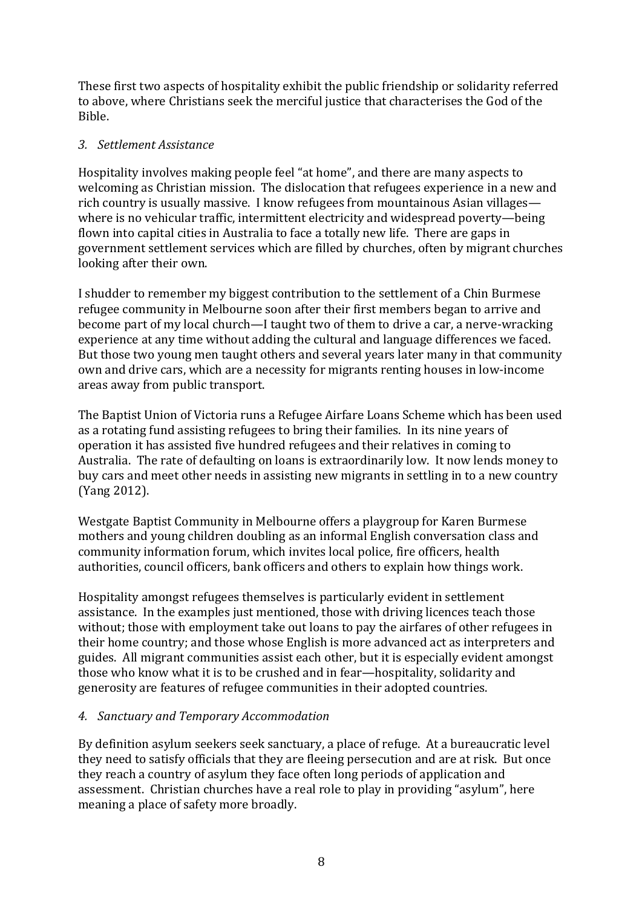These first two aspects of hospitality exhibit the public friendship or solidarity referred to above, where Christians seek the merciful justice that characterises the God of the Bible.

### *3. Settlement Assistance*

Hospitality involves making people feel "at home", and there are many aspects to welcoming as Christian mission. The dislocation that refugees experience in a new and rich country is usually massive. I know refugees from mountainous Asian villages where is no vehicular traffic, intermittent electricity and widespread poverty—being flown into capital cities in Australia to face a totally new life. There are gaps in government settlement services which are filled by churches, often by migrant churches looking after their own.

I shudder to remember my biggest contribution to the settlement of a Chin Burmese refugee community in Melbourne soon after their first members began to arrive and become part of my local church—I taught two of them to drive a car, a nerve-wracking experience at any time without adding the cultural and language differences we faced. But those two young men taught others and several years later many in that community own and drive cars, which are a necessity for migrants renting houses in low-income areas away from public transport.

The Baptist Union of Victoria runs a Refugee Airfare Loans Scheme which has been used as a rotating fund assisting refugees to bring their families. In its nine years of operation it has assisted five hundred refugees and their relatives in coming to Australia. The rate of defaulting on loans is extraordinarily low. It now lends money to buy cars and meet other needs in assisting new migrants in settling in to a new country (Yang 2012).

Westgate Baptist Community in Melbourne offers a playgroup for Karen Burmese mothers and young children doubling as an informal English conversation class and community information forum, which invites local police, fire officers, health authorities, council officers, bank officers and others to explain how things work.

Hospitality amongst refugees themselves is particularly evident in settlement assistance. In the examples just mentioned, those with driving licences teach those without; those with employment take out loans to pay the airfares of other refugees in their home country; and those whose English is more advanced act as interpreters and guides. All migrant communities assist each other, but it is especially evident amongst those who know what it is to be crushed and in fear—hospitality, solidarity and generosity are features of refugee communities in their adopted countries.

## *4. Sanctuary and Temporary Accommodation*

By definition asylum seekers seek sanctuary, a place of refuge. At a bureaucratic level they need to satisfy officials that they are fleeing persecution and are at risk. But once they reach a country of asylum they face often long periods of application and assessment. Christian churches have a real role to play in providing "asylum", here meaning a place of safety more broadly.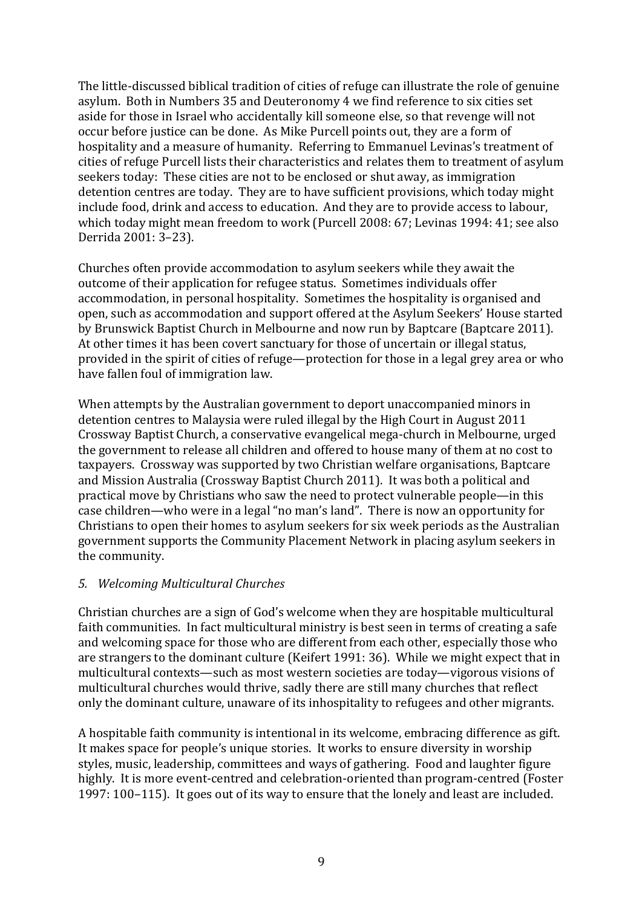The little-discussed biblical tradition of cities of refuge can illustrate the role of genuine asylum. Both in Numbers 35 and Deuteronomy 4 we find reference to six cities set aside for those in Israel who accidentally kill someone else, so that revenge will not occur before justice can be done. As Mike Purcell points out, they are a form of hospitality and a measure of humanity. Referring to Emmanuel Levinas's treatment of cities of refuge Purcell lists their characteristics and relates them to treatment of asylum seekers today: These cities are not to be enclosed or shut away, as immigration detention centres are today. They are to have sufficient provisions, which today might include food, drink and access to education. And they are to provide access to labour, which today might mean freedom to work (Purcell 2008: 67; Levinas 1994: 41; see also Derrida 2001: 3-23).

Churches often provide accommodation to asylum seekers while they await the outcome of their application for refugee status. Sometimes individuals offer accommodation, in personal hospitality. Sometimes the hospitality is organised and open, such as accommodation and support offered at the Asylum Seekers' House started by Brunswick Baptist Church in Melbourne and now run by Baptcare (Baptcare 2011). At other times it has been covert sanctuary for those of uncertain or illegal status, provided in the spirit of cities of refuge—protection for those in a legal grey area or who have fallen foul of immigration law.

When attempts by the Australian government to deport unaccompanied minors in detention centres to Malaysia were ruled illegal by the High Court in August 2011 Crossway Baptist Church, a conservative evangelical mega-church in Melbourne, urged the government to release all children and offered to house many of them at no cost to taxpayers. Crossway was supported by two Christian welfare organisations, Baptcare and Mission Australia (Crossway Baptist Church 2011). It was both a political and practical move by Christians who saw the need to protect vulnerable people—in this case children—who were in a legal "no man's land". There is now an opportunity for Christians to open their homes to asylum seekers for six week periods as the Australian government supports the Community Placement Network in placing asylum seekers in the community.

#### *5. Welcoming Multicultural Churches*

Christian churches are a sign of God's welcome when they are hospitable multicultural faith communities. In fact multicultural ministry is best seen in terms of creating a safe and welcoming space for those who are different from each other, especially those who are strangers to the dominant culture (Keifert 1991: 36). While we might expect that in multicultural contexts—such as most western societies are today—vigorous visions of multicultural churches would thrive, sadly there are still many churches that reflect only the dominant culture, unaware of its inhospitality to refugees and other migrants.

A hospitable faith community is intentional in its welcome, embracing difference as gift. It makes space for people's unique stories. It works to ensure diversity in worship styles, music, leadership, committees and ways of gathering. Food and laughter figure highly. It is more event-centred and celebration-oriented than program-centred (Foster 1997: 100-115). It goes out of its way to ensure that the lonely and least are included.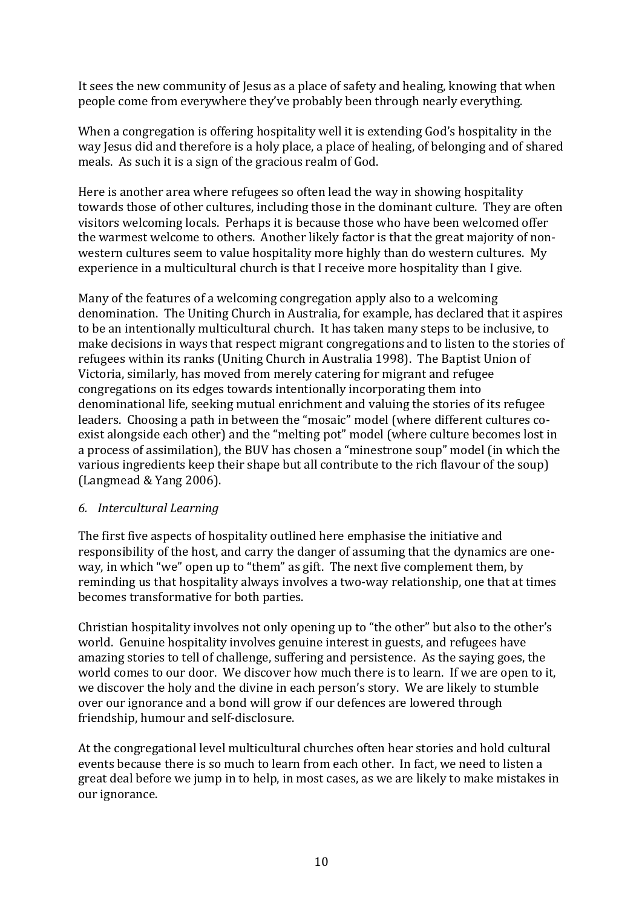It sees the new community of Jesus as a place of safety and healing, knowing that when people come from everywhere they've probably been through nearly everything.

When a congregation is offering hospitality well it is extending God's hospitality in the way Jesus did and therefore is a holy place, a place of healing, of belonging and of shared meals. As such it is a sign of the gracious realm of God.

Here is another area where refugees so often lead the way in showing hospitality towards those of other cultures, including those in the dominant culture. They are often visitors welcoming locals. Perhaps it is because those who have been welcomed offer the warmest welcome to others. Another likely factor is that the great majority of nonwestern cultures seem to value hospitality more highly than do western cultures. My experience in a multicultural church is that I receive more hospitality than I give.

Many of the features of a welcoming congregation apply also to a welcoming denomination. The Uniting Church in Australia, for example, has declared that it aspires to be an intentionally multicultural church. It has taken many steps to be inclusive, to make decisions in ways that respect migrant congregations and to listen to the stories of refugees within its ranks (Uniting Church in Australia 1998). The Baptist Union of Victoria, similarly, has moved from merely catering for migrant and refugee congregations on its edges towards intentionally incorporating them into denominational life, seeking mutual enrichment and valuing the stories of its refugee leaders. Choosing a path in between the "mosaic" model (where different cultures coexist alongside each other) and the "melting pot" model (where culture becomes lost in a process of assimilation), the BUV has chosen a "minestrone soup" model (in which the various ingredients keep their shape but all contribute to the rich flavour of the soup) (Langmead & Yang 2006).

#### *6. Intercultural Learning*

The first five aspects of hospitality outlined here emphasise the initiative and responsibility of the host, and carry the danger of assuming that the dynamics are oneway, in which "we" open up to "them" as gift. The next five complement them, by reminding us that hospitality always involves a two-way relationship, one that at times becomes transformative for both parties.

Christian hospitality involves not only opening up to "the other" but also to the other's world. Genuine hospitality involves genuine interest in guests, and refugees have amazing stories to tell of challenge, suffering and persistence. As the saying goes, the world comes to our door. We discover how much there is to learn. If we are open to it. we discover the holy and the divine in each person's story. We are likely to stumble over our ignorance and a bond will grow if our defences are lowered through friendship, humour and self-disclosure.

At the congregational level multicultural churches often hear stories and hold cultural events because there is so much to learn from each other. In fact, we need to listen a great deal before we jump in to help, in most cases, as we are likely to make mistakes in our ignorance.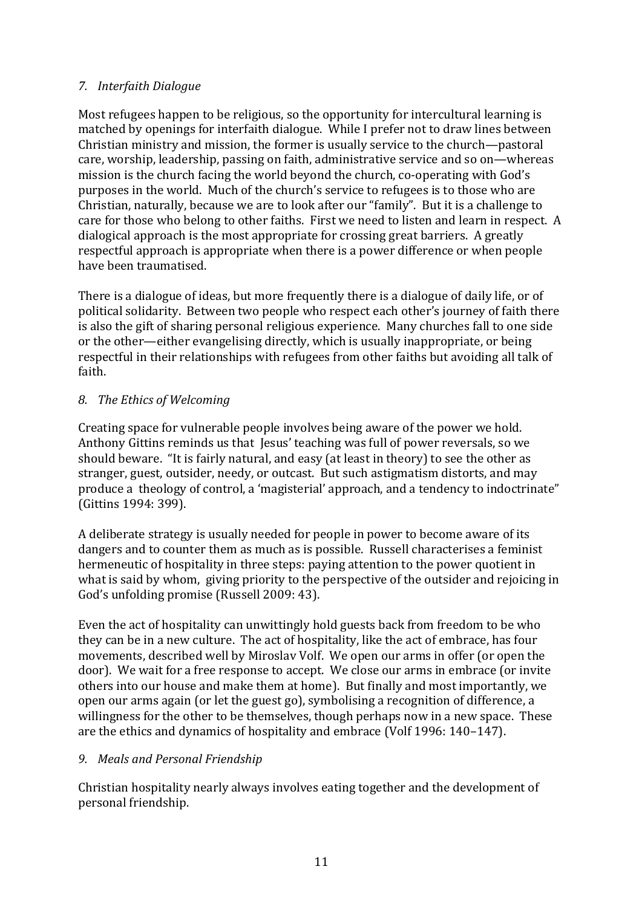## *7. Interfaith Dialogue*

Most refugees happen to be religious, so the opportunity for intercultural learning is matched by openings for interfaith dialogue. While I prefer not to draw lines between Christian ministry and mission, the former is usually service to the church—pastoral care, worship, leadership, passing on faith, administrative service and so on—whereas mission is the church facing the world beyond the church, co-operating with God's purposes in the world. Much of the church's service to refugees is to those who are Christian, naturally, because we are to look after our "family". But it is a challenge to care for those who belong to other faiths. First we need to listen and learn in respect. A dialogical approach is the most appropriate for crossing great barriers. A greatly respectful approach is appropriate when there is a power difference or when people have been traumatised.

There is a dialogue of ideas, but more frequently there is a dialogue of daily life, or of political solidarity. Between two people who respect each other's journey of faith there is also the gift of sharing personal religious experience. Many churches fall to one side or the other—either evangelising directly, which is usually inappropriate, or being respectful in their relationships with refugees from other faiths but avoiding all talk of faith.

### 8. The Ethics of Welcoming

Creating space for vulnerable people involves being aware of the power we hold. Anthony Gittins reminds us that Jesus' teaching was full of power reversals, so we should beware. "It is fairly natural, and easy (at least in theory) to see the other as stranger, guest, outsider, needy, or outcast. But such astigmatism distorts, and may produce a theology of control, a 'magisterial' approach, and a tendency to indoctrinate" (Gittins 1994: 399).

A deliberate strategy is usually needed for people in power to become aware of its dangers and to counter them as much as is possible. Russell characterises a feminist hermeneutic of hospitality in three steps: paying attention to the power quotient in what is said by whom, giving priority to the perspective of the outsider and rejoicing in God's unfolding promise (Russell 2009: 43).

Even the act of hospitality can unwittingly hold guests back from freedom to be who they can be in a new culture. The act of hospitality, like the act of embrace, has four movements, described well by Miroslav Volf. We open our arms in offer (or open the door). We wait for a free response to accept. We close our arms in embrace (or invite others into our house and make them at home). But finally and most importantly, we open our arms again (or let the guest go), symbolising a recognition of difference, a willingness for the other to be themselves, though perhaps now in a new space. These are the ethics and dynamics of hospitality and embrace (Volf 1996: 140–147).

#### *9. Meals and Personal Friendship*

Christian hospitality nearly always involves eating together and the development of personal friendship.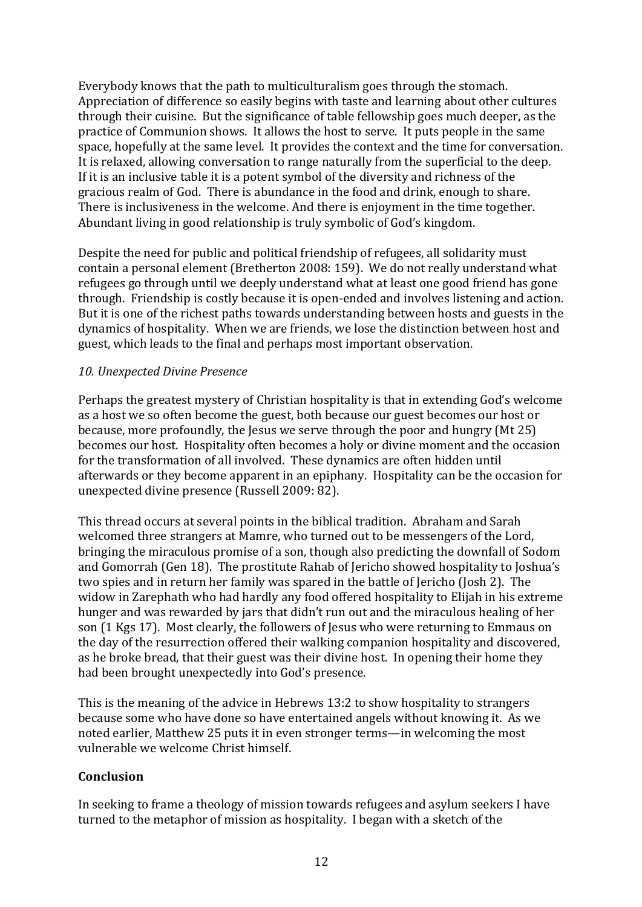Everybody knows that the path to multiculturalism goes through the stomach. Appreciation of difference so easily begins with taste and learning about other cultures through their cuisine. But the significance of table fellowship goes much deeper, as the practice of Communion shows. It allows the host to serve. It puts people in the same space, hopefully at the same level. It provides the context and the time for conversation. It is relaxed, allowing conversation to range naturally from the superficial to the deep. If it is an inclusive table it is a potent symbol of the diversity and richness of the gracious realm of God. There is abundance in the food and drink, enough to share. There is inclusiveness in the welcome. And there is enjoyment in the time together. Abundant living in good relationship is truly symbolic of God's kingdom.

Despite the need for public and political friendship of refugees, all solidarity must contain a personal element (Bretherton 2008: 159). We do not really understand what refugees go through until we deeply understand what at least one good friend has gone through. Friendship is costly because it is open-ended and involves listening and action. But it is one of the richest paths towards understanding between hosts and guests in the dynamics of hospitality. When we are friends, we lose the distinction between host and guest, which leads to the final and perhaps most important observation.

### *10. Unexpected Divine Presence*

Perhaps the greatest mystery of Christian hospitality is that in extending God's welcome as a host we so often become the guest, both because our guest becomes our host or because, more profoundly, the Jesus we serve through the poor and hungry  $(Mt 25)$ becomes our host. Hospitality often becomes a holy or divine moment and the occasion for the transformation of all involved. These dynamics are often hidden until afterwards or they become apparent in an epiphany. Hospitality can be the occasion for unexpected divine presence (Russell 2009: 82).

This thread occurs at several points in the biblical tradition. Abraham and Sarah welcomed three strangers at Mamre, who turned out to be messengers of the Lord, bringing the miraculous promise of a son, though also predicting the downfall of Sodom and Gomorrah (Gen 18). The prostitute Rahab of Jericho showed hospitality to Joshua's two spies and in return her family was spared in the battle of Jericho (Josh 2). The widow in Zarephath who had hardly any food offered hospitality to Elijah in his extreme hunger and was rewarded by jars that didn't run out and the miraculous healing of her son (1 Kgs 17). Most clearly, the followers of Jesus who were returning to Emmaus on the day of the resurrection offered their walking companion hospitality and discovered, as he broke bread, that their guest was their divine host. In opening their home they had been brought unexpectedly into God's presence.

This is the meaning of the advice in Hebrews 13:2 to show hospitality to strangers because some who have done so have entertained angels without knowing it. As we noted earlier, Matthew 25 puts it in even stronger terms—in welcoming the most vulnerable we welcome Christ himself.

#### **Conclusion**

In seeking to frame a theology of mission towards refugees and asylum seekers I have turned to the metaphor of mission as hospitality. I began with a sketch of the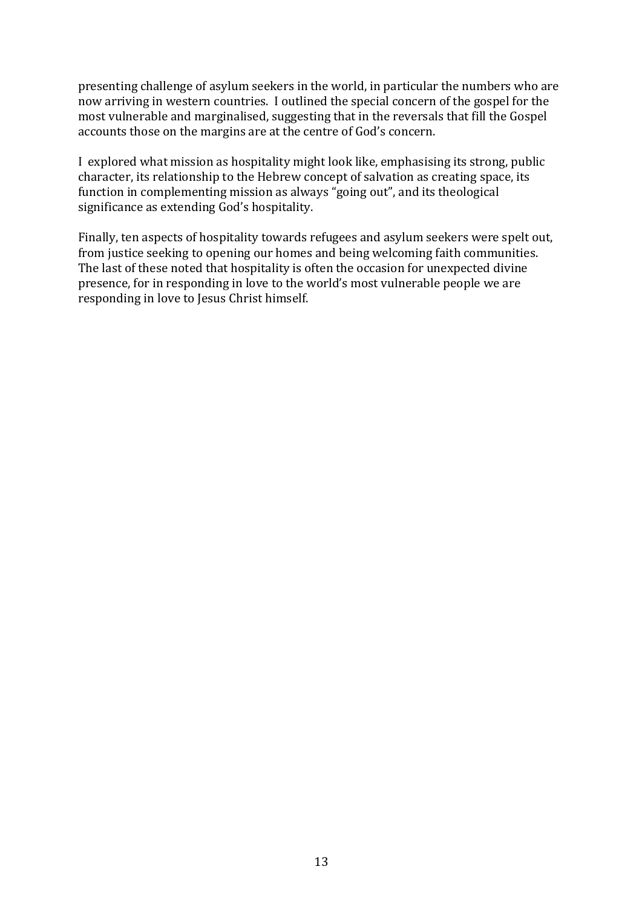presenting challenge of asylum seekers in the world, in particular the numbers who are now arriving in western countries. I outlined the special concern of the gospel for the most vulnerable and marginalised, suggesting that in the reversals that fill the Gospel accounts those on the margins are at the centre of God's concern.

I explored what mission as hospitality might look like, emphasising its strong, public character, its relationship to the Hebrew concept of salvation as creating space, its function in complementing mission as always "going out", and its theological significance as extending God's hospitality.

Finally, ten aspects of hospitality towards refugees and asylum seekers were spelt out, from justice seeking to opening our homes and being welcoming faith communities. The last of these noted that hospitality is often the occasion for unexpected divine presence, for in responding in love to the world's most vulnerable people we are responding in love to Jesus Christ himself.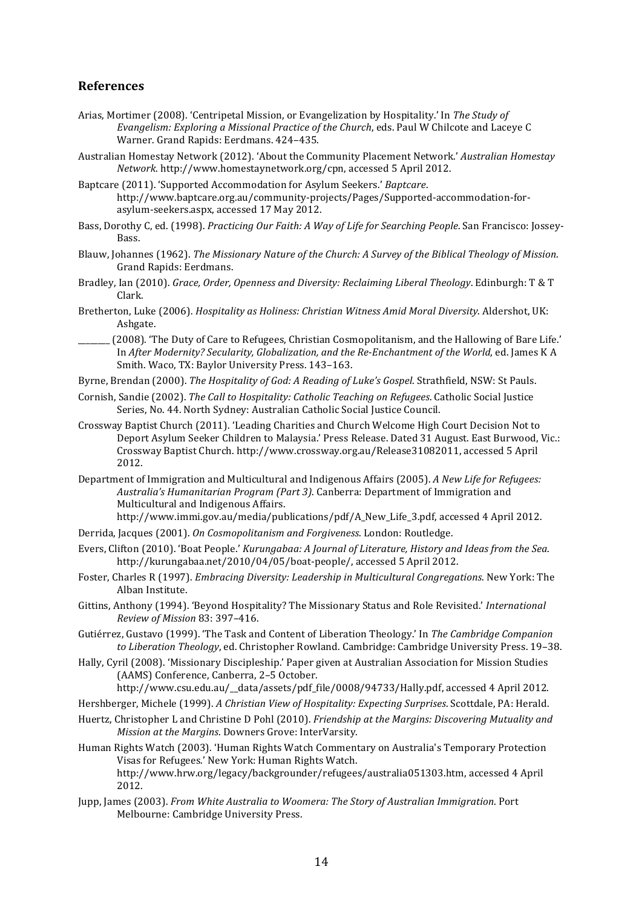#### **References**

- Arias, Mortimer (2008). 'Centripetal Mission, or Evangelization by Hospitality.' In *The Study of* Evangelism: Exploring a Missional Practice of the Church, eds. Paul W Chilcote and Laceye C Warner. Grand Rapids: Eerdmans. 424-435.
- Australian Homestay Network (2012). 'About the Community Placement Network.' Australian Homestay *Network.* http://www.homestaynetwork.org/cpn, accessed 5 April 2012.
- Baptcare (2011). 'Supported Accommodation for Asylum Seekers.' *Baptcare*. http://www.baptcare.org.au/community-projects/Pages/Supported-accommodation-forasylum-seekers.aspx, accessed 17 May 2012.
- Bass, Dorothy C, ed. (1998). *Practicing Our Faith: A Way of Life for Searching People*. San Francisco: Jossey-Bass.
- Blauw, Johannes (1962). *The Missionary Nature of the Church: A Survey of the Biblical Theology of Mission.* Grand Rapids: Eerdmans.
- Bradley, Ian (2010). *Grace, Order, Openness and Diversity: Reclaiming Liberal Theology*. Edinburgh: T & T Clark.
- Bretherton, Luke (2006). *Hospitality as Holiness: Christian Witness Amid Moral Diversity*. Aldershot, UK: Ashgate.
- \_\_\_\_\_\_\_\_ (2008). 'The Duty of Care to Refugees, Christian Cosmopolitanism, and the Hallowing of Bare Life.' In *After Modernity? Secularity, Globalization, and the Re-Enchantment of the World, ed. James KA* Smith. Waco, TX: Baylor University Press. 143-163.
- Byrne, Brendan (2000). The Hospitality of God: A Reading of Luke's Gospel. Strathfield, NSW: St Pauls.
- Cornish, Sandie (2002). *The Call to Hospitality: Catholic Teaching on Refugees*. Catholic Social Justice Series, No. 44. North Sydney: Australian Catholic Social Justice Council.
- Crossway Baptist Church (2011). 'Leading Charities and Church Welcome High Court Decision Not to Deport Asylum Seeker Children to Malaysia.' Press Release. Dated 31 August. East Burwood, Vic.: Crossway Baptist Church. http://www.crossway.org.au/Release31082011, accessed 5 April 2012.
- Department of Immigration and Multicultural and Indigenous Affairs (2005). A New Life for Refugees: Australia's Humanitarian Program (Part 3). Canberra: Department of Immigration and Multicultural and Indigenous Affairs.

http://www.immi.gov.au/media/publications/pdf/A\_New\_Life\_3.pdf, accessed 4 April 2012.

- Derrida, Jacques (2001). On Cosmopolitanism and Forgiveness. London: Routledge.
- Evers, Clifton (2010). 'Boat People.' *Kurungabaa: A Journal of Literature, History and Ideas from the Sea.* http://kurungabaa.net/2010/04/05/boat-people/, accessed 5 April 2012.
- Foster, Charles R (1997). *Embracing Diversity: Leadership in Multicultural Congregations*. New York: The Alban Institute.
- Gittins, Anthony (1994). 'Beyond Hospitality? The Missionary Status and Role Revisited.' *International Review of Mission* 83: 397–416.
- Gutiérrez, Gustavo (1999). 'The Task and Content of Liberation Theology.' In *The Cambridge Companion* to Liberation Theology, ed. Christopher Rowland. Cambridge: Cambridge University Press. 19-38.
- Hally, Cyril (2008). 'Missionary Discipleship.' Paper given at Australian Association for Mission Studies (AAMS) Conference, Canberra, 2-5 October.

http://www.csu.edu.au/\_data/assets/pdf\_file/0008/94733/Hally.pdf, accessed 4 April 2012.

Hershberger, Michele (1999). A Christian View of Hospitality: Expecting Surprises. Scottdale, PA: Herald.

Huertz, Christopher L and Christine D Pohl (2010). *Friendship at the Margins: Discovering Mutuality and Mission at the Margins*. Downers Grove: InterVarsity.

Human Rights Watch (2003). 'Human Rights Watch Commentary on Australia's Temporary Protection Visas for Refugees.' New York: Human Rights Watch.

http://www.hrw.org/legacy/backgrounder/refugees/australia051303.htm, accessed 4 April 2012.

Jupp, James (2003). *From White Australia to Woomera: The Story of Australian Immigration*. Port Melbourne: Cambridge University Press.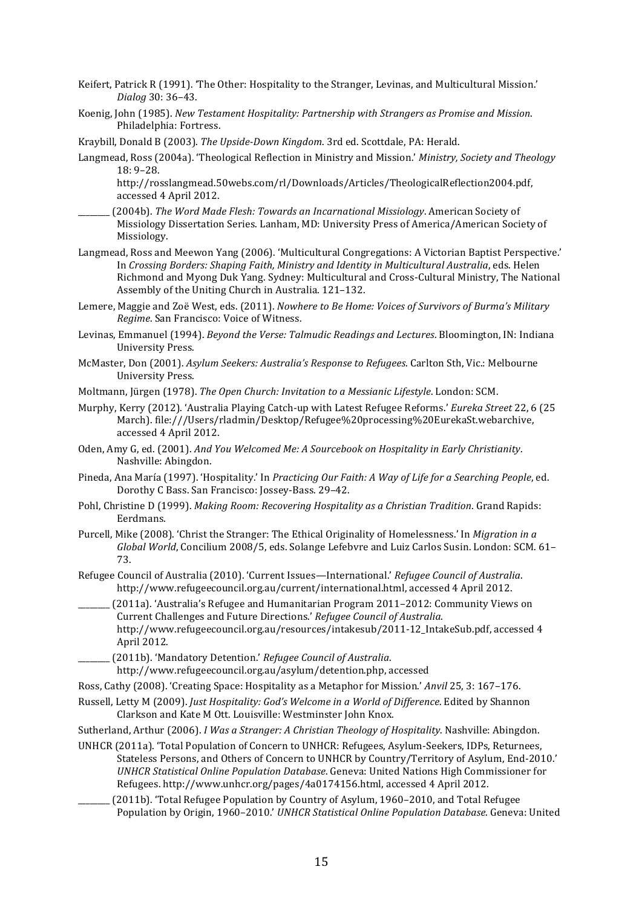- Keifert, Patrick R (1991). 'The Other: Hospitality to the Stranger, Levinas, and Multicultural Mission.' *Dialog* 30: 36–43.
- Koenig, John (1985). *New Testament Hospitality: Partnership with Strangers as Promise and Mission.* Philadelphia: Fortress.
- Kraybill, Donald B (2003). The Upside-Down Kingdom. 3rd ed. Scottdale, PA: Herald.
- Langmead, Ross (2004a). 'Theological Reflection in Ministry and Mission.' *Ministry, Society and Theology* 18: 9–28.

http://rosslangmead.50webs.com/rl/Downloads/Articles/TheologicalReflection2004.pdf, accessed 4 April 2012.

- (2004b). *The Word Made Flesh: Towards an Incarnational Missiology*. American Society of Missiology Dissertation Series. Lanham, MD: University Press of America/American Society of Missiology.
- Langmead, Ross and Meewon Yang (2006). 'Multicultural Congregations: A Victorian Baptist Perspective.' In *Crossing Borders: Shaping Faith, Ministry and Identity in Multicultural Australia*, eds. Helen Richmond and Myong Duk Yang. Sydney: Multicultural and Cross-Cultural Ministry, The National Assembly of the Uniting Church in Australia. 121-132.
- Lemere, Maggie and Zoë West, eds. (2011). Nowhere to Be Home: Voices of Survivors of Burma's Military *Regime*. San Francisco: Voice of Witness.
- Levinas, Emmanuel (1994). *Beyond the Verse: Talmudic Readings and Lectures*. Bloomington, IN: Indiana University Press.
- McMaster, Don (2001). Asylum Seekers: Australia's Response to Refugees. Carlton Sth, Vic.: Melbourne University Press.
- Moltmann, Jürgen (1978). *The Open Church: Invitation to a Messianic Lifestyle*. London: SCM.
- Murphy, Kerry (2012). 'Australia Playing Catch-up with Latest Refugee Reforms.' *Eureka Street* 22, 6 (25 March). file:///Users/rladmin/Desktop/Refugee%20processing%20EurekaSt.webarchive, accessed 4 April 2012.
- Oden, Amy G, ed. (2001). And You Welcomed Me: A Sourcebook on Hospitality in Early Christianity. Nashville: Abingdon.
- Pineda, Ana María (1997). 'Hospitality.' In *Practicing Our Faith: A Way of Life for a Searching People*, ed. Dorothy C Bass. San Francisco: Jossey-Bass. 29-42.
- Pohl, Christine D (1999). *Making Room: Recovering Hospitality as a Christian Tradition*. Grand Rapids: Eerdmans.
- Purcell, Mike (2008). 'Christ the Stranger: The Ethical Originality of Homelessness.' In *Migration in a Global World*, Concilium 2008/5, eds. Solange Lefebvre and Luiz Carlos Susin. London: SCM. 61-73.
- Refugee Council of Australia (2010). 'Current Issues—International.' *Refugee Council of Australia*. http://www.refugeecouncil.org.au/current/international.html, accessed 4 April 2012.
- (2011a). 'Australia's Refugee and Humanitarian Program 2011–2012: Community Views on Current Challenges and Future Directions.' Refugee Council of Australia. http://www.refugeecouncil.org.au/resources/intakesub/2011-12\_IntakeSub.pdf, accessed 4 April 2012.
- \_\_\_\_\_\_\_\_ (2011b). 'Mandatory Detention.' *Refugee Council of Australia*. http://www.refugeecouncil.org.au/asylum/detention.php, accessed
- Ross, Cathy (2008). 'Creating Space: Hospitality as a Metaphor for Mission.' *Anvil* 25, 3: 167-176.
- Russell, Letty M (2009). *Just Hospitality: God's Welcome in a World of Difference*. Edited by Shannon Clarkson and Kate M Ott. Louisville: Westminster John Knox.

Sutherland, Arthur (2006). *I Was a Stranger: A Christian Theology of Hospitality*. Nashville: Abingdon.

- UNHCR (2011a). 'Total Population of Concern to UNHCR: Refugees, Asylum-Seekers, IDPs, Returnees, Stateless Persons, and Others of Concern to UNHCR by Country/Territory of Asylum, End-2010.' UNHCR Statistical Online Population Database. Geneva: United Nations High Commissioner for Refugees. http://www.unhcr.org/pages/4a0174156.html, accessed 4 April 2012.
- (2011b). 'Total Refugee Population by Country of Asylum, 1960–2010, and Total Refugee Population by Origin, 1960–2010.' *UNHCR Statistical Online Population Database*. Geneva: United